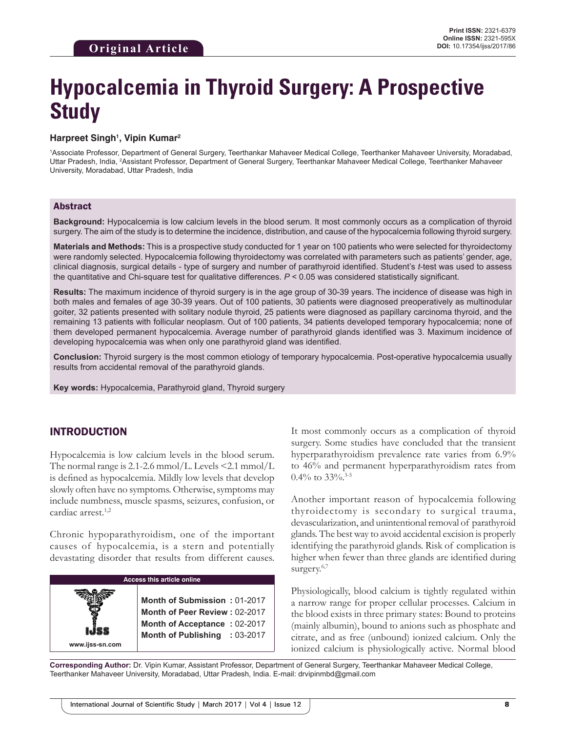# **Hypocalcemia in Thyroid Surgery: A Prospective Study**

#### **Harpreet Singh1 , Vipin Kumar2**

1 Associate Professor, Department of General Surgery, Teerthankar Mahaveer Medical College, Teerthanker Mahaveer University, Moradabad, Uttar Pradesh, India, 2 Assistant Professor, Department of General Surgery, Teerthankar Mahaveer Medical College, Teerthanker Mahaveer University, Moradabad, Uttar Pradesh, India

#### Abstract

**Background:** Hypocalcemia is low calcium levels in the blood serum. It most commonly occurs as a complication of thyroid surgery. The aim of the study is to determine the incidence, distribution, and cause of the hypocalcemia following thyroid surgery.

**Materials and Methods:** This is a prospective study conducted for 1 year on 100 patients who were selected for thyroidectomy were randomly selected. Hypocalcemia following thyroidectomy was correlated with parameters such as patients' gender, age, clinical diagnosis, surgical details - type of surgery and number of parathyroid identified. Student's *t*-test was used to assess the quantitative and Chi-square test for qualitative differences. *P* < 0.05 was considered statistically significant.

**Results:** The maximum incidence of thyroid surgery is in the age group of 30-39 years. The incidence of disease was high in both males and females of age 30-39 years. Out of 100 patients, 30 patients were diagnosed preoperatively as multinodular goiter, 32 patients presented with solitary nodule thyroid, 25 patients were diagnosed as papillary carcinoma thyroid, and the remaining 13 patients with follicular neoplasm. Out of 100 patients, 34 patients developed temporary hypocalcemia; none of them developed permanent hypocalcemia. Average number of parathyroid glands identified was 3. Maximum incidence of developing hypocalcemia was when only one parathyroid gland was identified.

**Conclusion:** Thyroid surgery is the most common etiology of temporary hypocalcemia. Post-operative hypocalcemia usually results from accidental removal of the parathyroid glands.

**Key words:** Hypocalcemia, Parathyroid gland, Thyroid surgery

# INTRODUCTION

Hypocalcemia is low calcium levels in the blood serum. The normal range is 2.1-2.6 mmol/L. Levels  $\leq$ 2.1 mmol/L is defined as hypocalcemia. Mildly low levels that develop slowly often have no symptoms. Otherwise, symptoms may include numbness, muscle spasms, seizures, confusion, or cardiac arrest.<sup>1,2</sup>

Chronic hypoparathyroidism, one of the important causes of hypocalcemia, is a stern and potentially devastating disorder that results from different causes.

| <b>Access this article online</b> |                                                                                                                                |  |  |
|-----------------------------------|--------------------------------------------------------------------------------------------------------------------------------|--|--|
| www.ijss-sn.com                   | Month of Submission: 01-2017<br>Month of Peer Review: 02-2017<br>Month of Acceptance: 02-2017<br>Month of Publishing : 03-2017 |  |  |

It most commonly occurs as a complication of thyroid surgery. Some studies have concluded that the transient hyperparathyroidism prevalence rate varies from 6.9% to 46% and permanent hyperparathyroidism rates from 0.4% to  $33\%$ .<sup>3-5</sup>

Another important reason of hypocalcemia following thyroidectomy is secondary to surgical trauma, devascularization, and unintentional removal of parathyroid glands. The best way to avoid accidental excision is properly identifying the parathyroid glands. Risk of complication is higher when fewer than three glands are identified during surgery.<sup>6,7</sup>

Physiologically, blood calcium is tightly regulated within a narrow range for proper cellular processes. Calcium in the blood exists in three primary states: Bound to proteins (mainly albumin), bound to anions such as phosphate and citrate, and as free (unbound) ionized calcium. Only the ionized calcium is physiologically active. Normal blood

**Corresponding Author:** Dr. Vipin Kumar, Assistant Professor, Department of General Surgery, Teerthankar Mahaveer Medical College, Teerthanker Mahaveer University, Moradabad, Uttar Pradesh, India. E-mail: drvipinmbd@gmail.com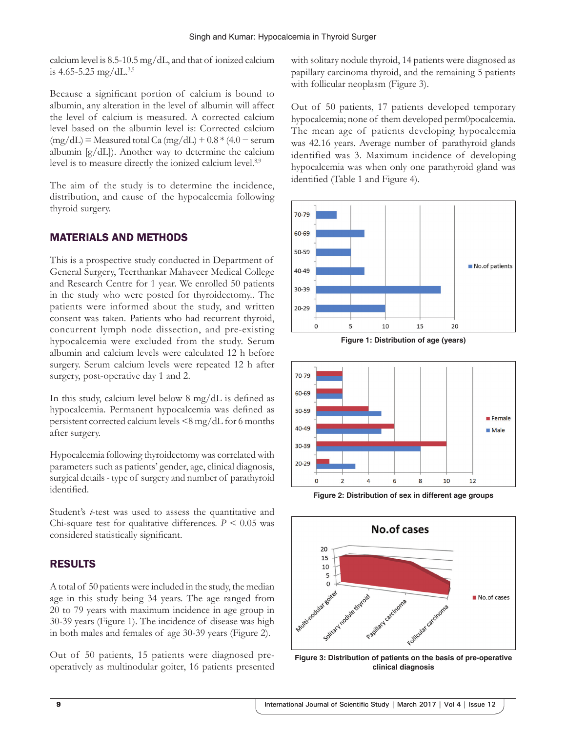calcium level is 8.5-10.5 mg/dL, and that of ionized calcium is 4.65-5.25 mg/dL $^{3,5}$ 

Because a significant portion of calcium is bound to albumin, any alteration in the level of albumin will affect the level of calcium is measured. A corrected calcium level based on the albumin level is: Corrected calcium  $(mg/dL)$  = Measured total Ca  $(mg/dL)$  + 0.8 \* (4.0 – serum albumin [g/dL]). Another way to determine the calcium level is to measure directly the ionized calcium level.<sup>8,9</sup>

The aim of the study is to determine the incidence, distribution, and cause of the hypocalcemia following thyroid surgery.

## MATERIALS AND METHODS

This is a prospective study conducted in Department of General Surgery, Teerthankar Mahaveer Medical College and Research Centre for 1 year. We enrolled 50 patients in the study who were posted for thyroidectomy.. The patients were informed about the study, and written consent was taken. Patients who had recurrent thyroid, concurrent lymph node dissection, and pre-existing hypocalcemia were excluded from the study. Serum albumin and calcium levels were calculated 12 h before surgery. Serum calcium levels were repeated 12 h after surgery, post-operative day 1 and 2.

In this study, calcium level below 8 mg/dL is defined as hypocalcemia. Permanent hypocalcemia was defined as persistent corrected calcium levels <8 mg/dL for 6 months after surgery.

Hypocalcemia following thyroidectomy was correlated with parameters such as patients' gender, age, clinical diagnosis, surgical details- type of surgery and number of parathyroid identified.

Student's *t*-test was used to assess the quantitative and Chi-square test for qualitative differences.  $P \leq 0.05$  was considered statistically significant.

# RESULTS

A total of 50 patients were included in the study, the median age in this study being 34 years. The age ranged from 20 to 79 years with maximum incidence in age group in 30-39 years (Figure 1). The incidence of disease was high in both males and females of age 30-39 years (Figure 2).

Out of 50 patients, 15 patients were diagnosed preoperatively as multinodular goiter, 16 patients presented with solitary nodule thyroid, 14 patients were diagnosed as papillary carcinoma thyroid, and the remaining 5 patients with follicular neoplasm (Figure 3).

Out of 50 patients, 17 patients developed temporary hypocalcemia; none of them developed perm0pocalcemia. The mean age of patients developing hypocalcemia was 42.16 years. Average number of parathyroid glands identified was 3. Maximum incidence of developing hypocalcemia was when only one parathyroid gland was identified (Table 1 and Figure 4).



**Figure 1: Distribution of age (years)**



**Figure 2: Distribution of sex in different age groups**



**Figure 3: Distribution of patients on the basis of pre-operative clinical diagnosis**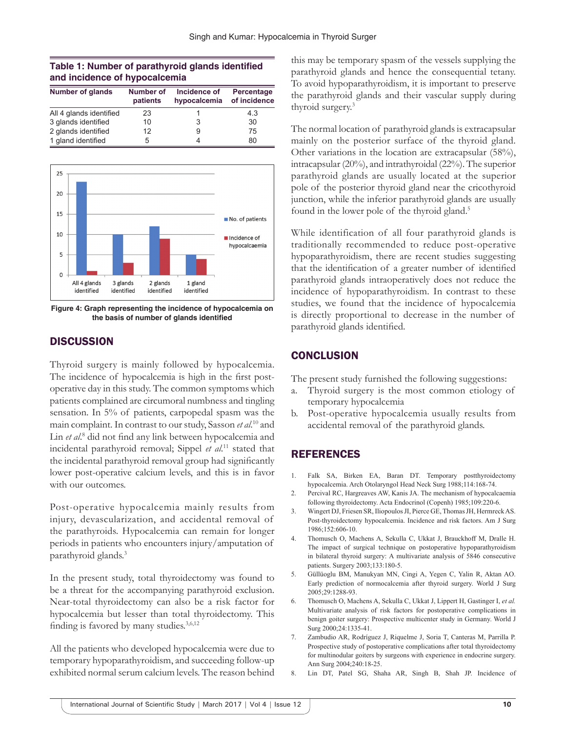### **Table 1: Number of parathyroid glands identified and incidence of hypocalcemia**

| <b>Number of glands</b> | Number of<br>patients | Incidence of<br>hypocalcemia | Percentage<br>of incidence |
|-------------------------|-----------------------|------------------------------|----------------------------|
| All 4 glands identified | 23                    |                              | 4.3                        |
| 3 glands identified     | 10                    | 3                            | 30                         |
| 2 glands identified     | 12                    | 9                            | 75                         |
| 1 gland identified      | 5                     |                              | 80                         |



**Figure 4: Graph representing the incidence of hypocalcemia on the basis of number of glands identified**

## **DISCUSSION**

Thyroid surgery is mainly followed by hypocalcemia. The incidence of hypocalcemia is high in the first postoperative day in this study. The common symptoms which patients complained are circumoral numbness and tingling sensation. In 5% of patients, carpopedal spasm was the main complaint. In contrast to our study, Sasson *et al*. 10 and Lin et al.<sup>8</sup> did not find any link between hypocalcemia and incidental parathyroid removal; Sippel *et al*. 11 stated that the incidental parathyroid removal group had significantly lower post-operative calcium levels, and this is in favor with our outcomes.

Post-operative hypocalcemia mainly results from injury, devascularization, and accidental removal of the parathyroids. Hypocalcemia can remain for longer periods in patients who encounters injury/amputation of parathyroid glands.3

In the present study, total thyroidectomy was found to be a threat for the accompanying parathyroid exclusion. Near-total thyroidectomy can also be a risk factor for hypocalcemia but lesser than total thyroidectomy. This finding is favored by many studies.3,6,12

All the patients who developed hypocalcemia were due to temporary hypoparathyroidism, and succeeding follow-up exhibited normal serum calcium levels. The reason behind this may be temporary spasm of the vessels supplying the parathyroid glands and hence the consequential tetany. To avoid hypoparathyroidism, it is important to preserve the parathyroid glands and their vascular supply during thyroid surgery.3

The normal location of parathyroid glands is extracapsular mainly on the posterior surface of the thyroid gland. Other variations in the location are extracapsular (58%), intracapsular (20%), and intrathyroidal (22%). The superior parathyroid glands are usually located at the superior pole of the posterior thyroid gland near the cricothyroid junction, while the inferior parathyroid glands are usually found in the lower pole of the thyroid gland.<sup>5</sup>

While identification of all four parathyroid glands is traditionally recommended to reduce post-operative hypoparathyroidism, there are recent studies suggesting that the identification of a greater number of identified parathyroid glands intraoperatively does not reduce the incidence of hypoparathyroidism. In contrast to these studies, we found that the incidence of hypocalcemia is directly proportional to decrease in the number of parathyroid glands identified.

# **CONCLUSION**

The present study furnished the following suggestions:

- a. Thyroid surgery is the most common etiology of temporary hypocalcemia
- b. Post-operative hypocalcemia usually results from accidental removal of the parathyroid glands.

# REFERENCES

- 1. Falk SA, Birken EA, Baran DT. Temporary postthyroidectomy hypocalcemia. Arch Otolaryngol Head Neck Surg 1988;114:168-74.
- 2. Percival RC, Hargreaves AW, Kanis JA. The mechanism of hypocalcaemia following thyroidectomy. Acta Endocrinol (Copenh) 1985;109:220-6.
- 3. Wingert DJ, Friesen SR, Iliopoulos JI, Pierce GE, Thomas JH, Hermreck AS. Post-thyroidectomy hypocalcemia. Incidence and risk factors. Am J Surg 1986;152:606-10.
- 4. Thomusch O, Machens A, Sekulla C, Ukkat J, Brauckhoff M, Dralle H. The impact of surgical technique on postoperative hypoparathyroidism in bilateral thyroid surgery: A multivariate analysis of 5846 consecutive patients. Surgery 2003;133:180-5.
- 5. Güllüoglu BM, Manukyan MN, Cingi A, Yegen C, Yalin R, Aktan AO. Early prediction of normocalcemia after thyroid surgery. World J Surg 2005;29:1288-93.
- 6. Thomusch O, Machens A, Sekulla C, Ukkat J, Lippert H, Gastinger I, *et al.* Multivariate analysis of risk factors for postoperative complications in benign goiter surgery: Prospective multicenter study in Germany. World J Surg 2000;24:1335-41.
- 7. Zambudio AR, Rodríguez J, Riquelme J, Soria T, Canteras M, Parrilla P. Prospective study of postoperative complications after total thyroidectomy for multinodular goiters by surgeons with experience in endocrine surgery. Ann Surg 2004;240:18-25.
- 8. Lin DT, Patel SG, Shaha AR, Singh B, Shah JP. Incidence of